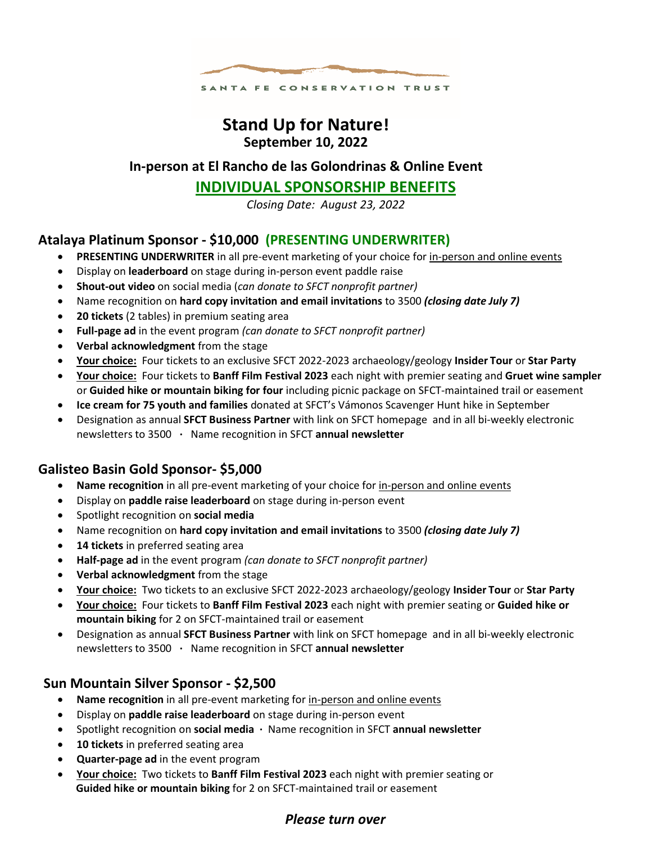

# **Stand Up for Nature! September 10, 2022**

### **In-person at El Rancho de las Golondrinas & Online Event**

## **INDIVIDUAL SPONSORSHIP BENEFITS**

*Closing Date: August 23, 2022*

### **Atalaya Platinum Sponsor - \$10,000 (PRESENTING UNDERWRITER)**

- **PRESENTING UNDERWRITER** in all pre-event marketing of your choice for in-person and online events
- Display on **leaderboard** on stage during in-person event paddle raise
- **Shout-out video** on social media (*can donate to SFCT nonprofit partner)*
- Name recognition on **hard copy invitation and email invitations** to 3500 *(closing date July 7)*
- **20 tickets** (2 tables) in premium seating area
- **Full-page ad** in the event program *(can donate to SFCT nonprofit partner)*
- **Verbal acknowledgment** from the stage
- **Your choice:** Four tickets to an exclusive SFCT 2022-2023 archaeology/geology **Insider Tour** or **Star Party**
- **Your choice:** Four tickets to **Banff Film Festival 2023** each night with premier seating and **Gruet wine sampler** or **Guided hike or mountain biking for four** including picnic package on SFCT-maintained trail or easement
- **Ice cream for 75 youth and families** donated at SFCT's Vámonos Scavenger Hunt hike in September
- Designation as annual **SFCT Business Partner** with link on SFCT homepage and in all bi-weekly electronic newsletters to 3500 **∙** Name recognition in SFCT **annual newsletter**

### **Galisteo Basin Gold Sponsor- \$5,000**

- **Name recognition** in all pre-event marketing of your choice for in-person and online events
- Display on **paddle raise leaderboard** on stage during in-person event
- Spotlight recognition on **social media**
- Name recognition on **hard copy invitation and email invitations** to 3500 *(closing date July 7)*
- 14 **tickets** in preferred seating area
- **Half-page ad** in the event program *(can donate to SFCT nonprofit partner)*
- **Verbal acknowledgment** from the stage
- **Your choice:** Two tickets to an exclusive SFCT 2022-2023 archaeology/geology **Insider Tour** or **Star Party**
- **Your choice:** Four tickets to **Banff Film Festival 2023** each night with premier seating or **Guided hike or mountain biking** for 2 on SFCT-maintained trail or easement
- Designation as annual **SFCT Business Partner** with link on SFCT homepage and in all bi-weekly electronic newsletters to 3500 **∙** Name recognition in SFCT **annual newsletter**

#### **Sun Mountain Silver Sponsor - \$2,500**

- **Name recognition** in all pre-event marketing for in-person and online events
- Display on **paddle raise leaderboard** on stage during in-person event
- Spotlight recognition on **social media ∙** Name recognition in SFCT **annual newsletter**
- **10 tickets** in preferred seating area
- **Quarter-page ad** in the event program
- **Your choice:** Two tickets to **Banff Film Festival 2023** each night with premier seating or  **Guided hike or mountain biking** for 2 on SFCT-maintained trail or easement

### *Please turn over*